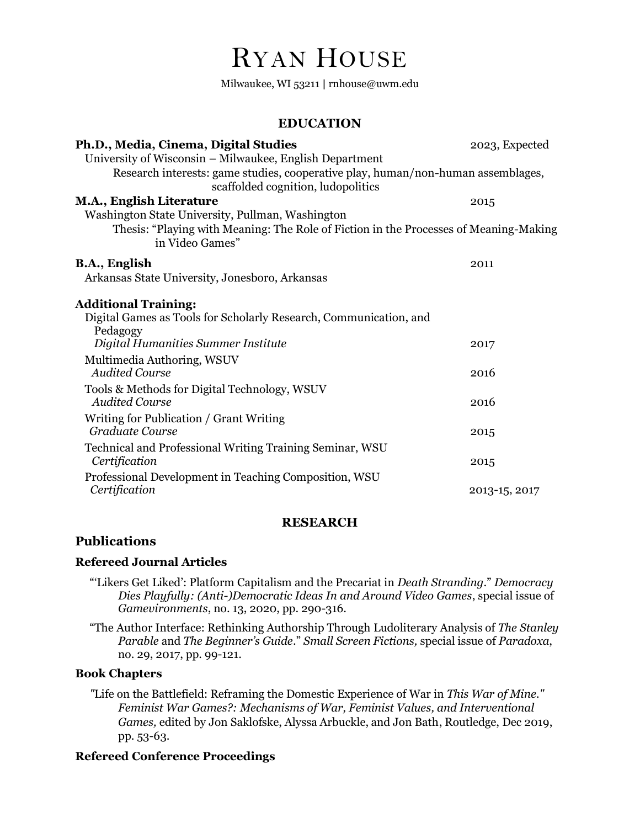# RYAN HOUSE

Milwaukee, WI 53211 **|** rnhouse@uwm.edu

## **EDUCATION**

| Ph.D., Media, Cinema, Digital Studies                                                                    | 2023, Expected |
|----------------------------------------------------------------------------------------------------------|----------------|
| University of Wisconsin - Milwaukee, English Department                                                  |                |
| Research interests: game studies, cooperative play, human/non-human assemblages,                         |                |
| scaffolded cognition, ludopolitics                                                                       |                |
| M.A., English Literature                                                                                 | 2015           |
| Washington State University, Pullman, Washington                                                         |                |
| Thesis: "Playing with Meaning: The Role of Fiction in the Processes of Meaning-Making<br>in Video Games" |                |
| B.A., English                                                                                            | 2011           |
| Arkansas State University, Jonesboro, Arkansas                                                           |                |
| <b>Additional Training:</b>                                                                              |                |
| Digital Games as Tools for Scholarly Research, Communication, and                                        |                |
| Pedagogy                                                                                                 |                |
| Digital Humanities Summer Institute                                                                      | 2017           |
| Multimedia Authoring, WSUV                                                                               |                |
| <b>Audited Course</b>                                                                                    | 2016           |
| Tools & Methods for Digital Technology, WSUV<br><b>Audited Course</b>                                    |                |
|                                                                                                          | 2016           |
| Writing for Publication / Grant Writing<br>Graduate Course                                               |                |
|                                                                                                          | 2015           |
| Technical and Professional Writing Training Seminar, WSU<br>Certification                                | 2015           |
|                                                                                                          |                |
| Professional Development in Teaching Composition, WSU<br>Certification                                   | 2013-15, 2017  |
|                                                                                                          |                |

## **RESEARCH**

## **Publications**

#### **Refereed Journal Articles**

"'Likers Get Liked': Platform Capitalism and the Precariat in *Death Stranding*." *Democracy Dies Playfully: (Anti-)Democratic Ideas In and Around Video Games*, special issue of *Gamevironments*, no. 13, 2020, pp. 290-316.

"The Author Interface: Rethinking Authorship Through Ludoliterary Analysis of *The Stanley Parable* and *The Beginner's Guide*." *Small Screen Fictions,* special issue of *Paradoxa*, no. 29, 2017, pp. 99-121.

### **Book Chapters**

*"*Life on the Battlefield: Reframing the Domestic Experience of War in *This War of Mine." Feminist War Games?: Mechanisms of War, Feminist Values, and Interventional Games,* edited by Jon Saklofske, Alyssa Arbuckle, and Jon Bath, Routledge, Dec 2019, pp. 53-63.

## **Refereed Conference Proceedings**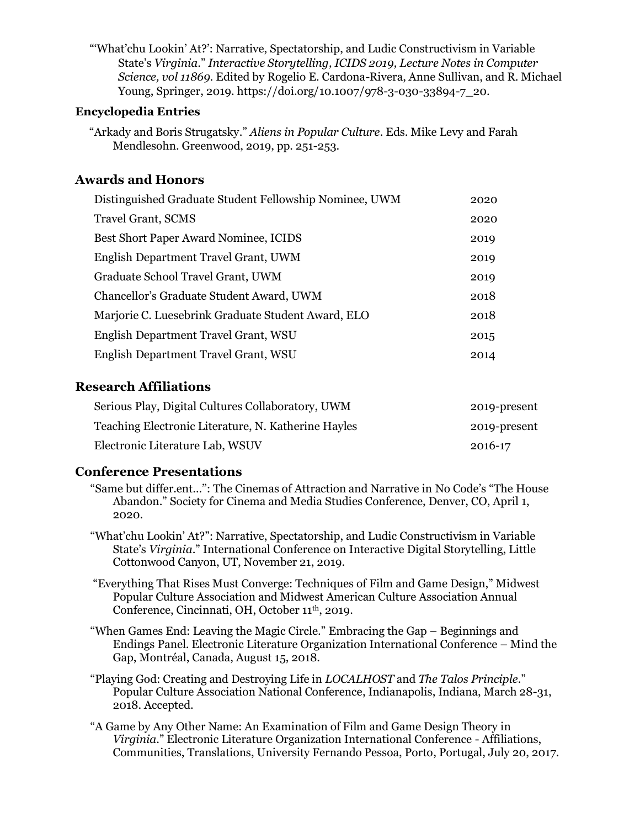"'What'chu Lookin' At?': Narrative, Spectatorship, and Ludic Constructivism in Variable State's *Virginia*." *Interactive Storytelling, ICIDS 2019, Lecture Notes in Computer Science, vol 11869.* Edited by Rogelio E. Cardona-Rivera, Anne Sullivan, and R. Michael Young, Springer, 2019. https://doi.org/10.1007/978-3-030-33894-7\_20.

## **Encyclopedia Entries**

"Arkady and Boris Strugatsky." *Aliens in Popular Culture*. Eds. Mike Levy and Farah Mendlesohn. Greenwood, 2019, pp. 251-253.

# **Awards and Honors**

| Distinguished Graduate Student Fellowship Nominee, UWM | 2020 |
|--------------------------------------------------------|------|
| <b>Travel Grant, SCMS</b>                              | 2020 |
| Best Short Paper Award Nominee, ICIDS                  | 2019 |
| English Department Travel Grant, UWM                   | 2019 |
| Graduate School Travel Grant, UWM                      | 2019 |
| Chancellor's Graduate Student Award, UWM               | 2018 |
| Marjorie C. Luesebrink Graduate Student Award, ELO     | 2018 |
| English Department Travel Grant, WSU                   | 2015 |
| English Department Travel Grant, WSU                   | 2014 |
|                                                        |      |

# **Research Affiliations**

| Serious Play, Digital Cultures Collaboratory, UWM   | 2019-present |
|-----------------------------------------------------|--------------|
| Teaching Electronic Literature, N. Katherine Hayles | 2019-present |
| Electronic Literature Lab, WSUV                     | 2016-17      |

# **Conference Presentations**

- "Same but differ.ent…": The Cinemas of Attraction and Narrative in No Code's "The House Abandon." Society for Cinema and Media Studies Conference, Denver, CO, April 1, 2020.
- "What'chu Lookin' At?": Narrative, Spectatorship, and Ludic Constructivism in Variable State's *Virginia*." International Conference on Interactive Digital Storytelling, Little Cottonwood Canyon, UT, November 21, 2019.
- "Everything That Rises Must Converge: Techniques of Film and Game Design," Midwest Popular Culture Association and Midwest American Culture Association Annual Conference, Cincinnati, OH, October 11<sup>th</sup>, 2019.
- "When Games End: Leaving the Magic Circle." Embracing the Gap Beginnings and Endings Panel. Electronic Literature Organization International Conference – Mind the Gap, Montréal, Canada, August 15, 2018.
- "Playing God: Creating and Destroying Life in *LOCALHOST* and *The Talos Principle*." Popular Culture Association National Conference, Indianapolis, Indiana, March 28-31, 2018. Accepted.
- "A Game by Any Other Name: An Examination of Film and Game Design Theory in *Virginia*." Electronic Literature Organization International Conference - Affiliations, Communities, Translations, University Fernando Pessoa, Porto, Portugal, July 20, 2017.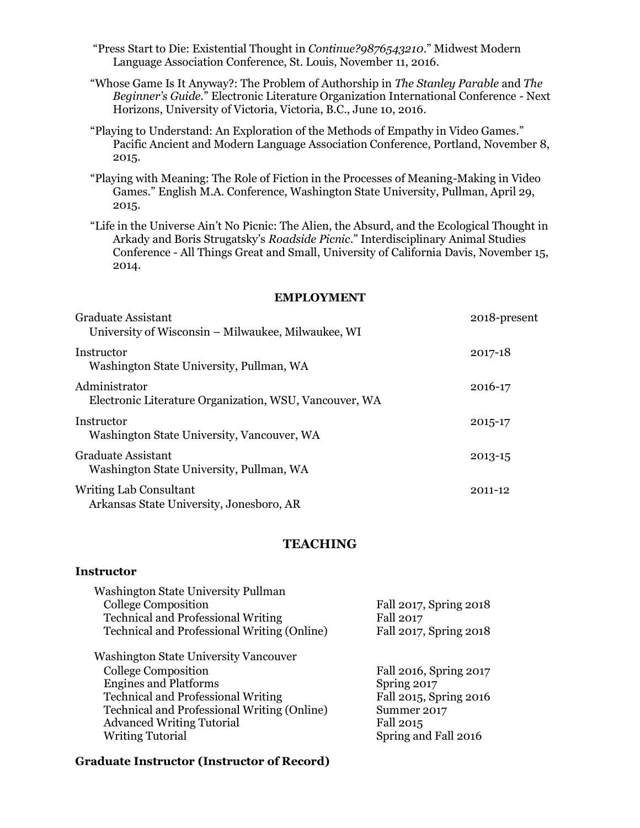"Press Start to Die: Existential Thought in *Continue?9876543210*." Midwest Modern Language Association Conference, St. Louis, November 11, 2016.

"Whose Game Is It Anyway?: The Problem of Authorship in *The Stanley Parable* and *The Beginner's Guide.*" Electronic Literature Organization International Conference - Next Horizons, University of Victoria, Victoria, B.C., June 10, 2016.

"Playing to Understand: An Exploration of the Methods of Empathy in Video Games." Pacific Ancient and Modern Language Association Conference, Portland, November 8, 2015.

"Playing with Meaning: The Role of Fiction in the Processes of Meaning-Making in Video Games." English M.A. Conference, Washington State University, Pullman, April 29, 2015.

"Life in the Universe Ain't No Picnic: The Alien, the Absurd, and the Ecological Thought in Arkady and Boris Strugatsky's *Roadside Picnic*." Interdisciplinary Animal Studies Conference - All Things Great and Small, University of California Davis, November 15, 2014.

#### **EMPLOYMENT**

| <b>Graduate Assistant</b><br>University of Wisconsin – Milwaukee, Milwaukee, WI | 2018-present |
|---------------------------------------------------------------------------------|--------------|
| Instructor<br>Washington State University, Pullman, WA                          | 2017-18      |
| Administrator<br>Electronic Literature Organization, WSU, Vancouver, WA         | 2016-17      |
| Instructor<br>Washington State University, Vancouver, WA                        | 2015-17      |
| <b>Graduate Assistant</b><br>Washington State University, Pullman, WA           | 2013-15      |
| Writing Lab Consultant<br>Arkansas State University, Jonesboro, AR              | 2011-12      |

#### **TEACHING**

#### **Instructor**

| Washington State University Pullman                |                        |
|----------------------------------------------------|------------------------|
| <b>College Composition</b>                         | Fall 2017, Spring 2018 |
| <b>Technical and Professional Writing</b>          | <b>Fall 2017</b>       |
| <b>Technical and Professional Writing (Online)</b> | Fall 2017, Spring 2018 |
| <b>Washington State University Vancouver</b>       |                        |
| College Composition                                | Fall 2016, Spring 2017 |
| <b>Engines and Platforms</b>                       | Spring 2017            |
| <b>Technical and Professional Writing</b>          | Fall 2015, Spring 2016 |
| <b>Technical and Professional Writing (Online)</b> | Summer 2017            |
| <b>Advanced Writing Tutorial</b>                   | Fall 2015              |
| <b>Writing Tutorial</b>                            | Spring and Fall 2016   |
|                                                    |                        |

#### **Graduate Instructor (Instructor of Record)**